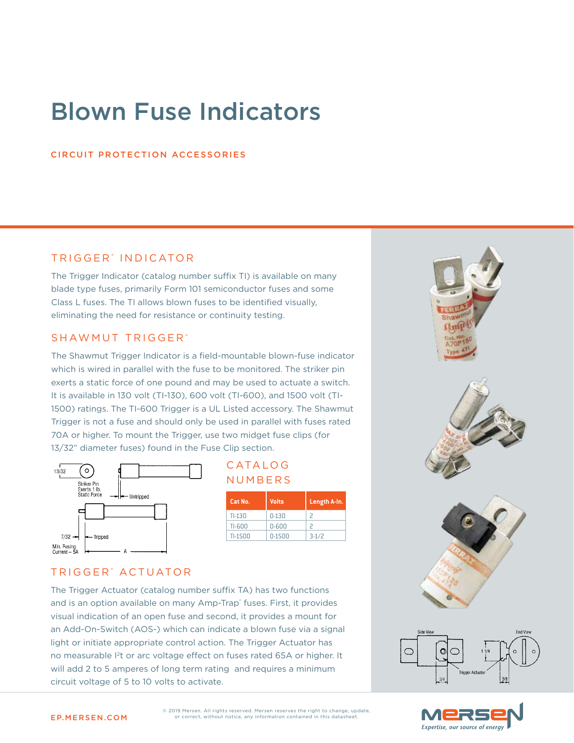# Blown Fuse Indicators

#### CIRCUIT PROTECTION ACCESSORIES

### TRIGGER<sup>®</sup> INDICATOR

The Trigger Indicator (catalog number suffix TI) is available on many blade type fuses, primarily Form 101 semiconductor fuses and some Class L fuses. The TI allows blown fuses to be identified visually, eliminating the need for resistance or continuity testing.

#### SHAWMUT TRIGGER<sup>®</sup>

The Shawmut Trigger Indicator is a field-mountable blown-fuse indicator which is wired in parallel with the fuse to be monitored. The striker pin exerts a static force of one pound and may be used to actuate a switch. It is available in 130 volt (TI-130), 600 volt (TI-600), and 1500 volt (TI-1500) ratings. The TI-600 Trigger is a UL Listed accessory. The Shawmut Trigger is not a fuse and should only be used in parallel with fuses rated 70A or higher. To mount the Trigger, use two midget fuse clips (for 13/32" diameter fuses) found in the Fuse Clip section.



| CATALOG |  |
|---------|--|
| NUMBERS |  |

| Cat No.  | <b>Volts</b> | Length A-In. |
|----------|--------------|--------------|
| $TI-130$ | $0 - 130$    |              |
| TI-600   | $0 - 600$    |              |
| TI-1500  | 0-1500       | $3-1/2$      |

#### TRIGGER<sup>®</sup> ACTUATOR

The Trigger Actuator (catalog number suffix TA) has two functions and is an option available on many Amp-Trap® fuses. First, it provides visual indication of an open fuse and second, it provides a mount for an Add-On-Switch (AOS-) which can indicate a blown fuse via a signal light or initiate appropriate control action. The Trigger Actuator has no measurable I2t or arc voltage effect on fuses rated 65A or higher. It will add 2 to 5 amperes of long term rating and requires a minimum circuit voltage of 5 to 10 volts to activate.





EP.MERSEN.COM or correct, without notice, any information contained in this datasheet. **THERSEN.COM** © 2019 Mersen. All rights reserved. Mersen reserves the right to change, update,